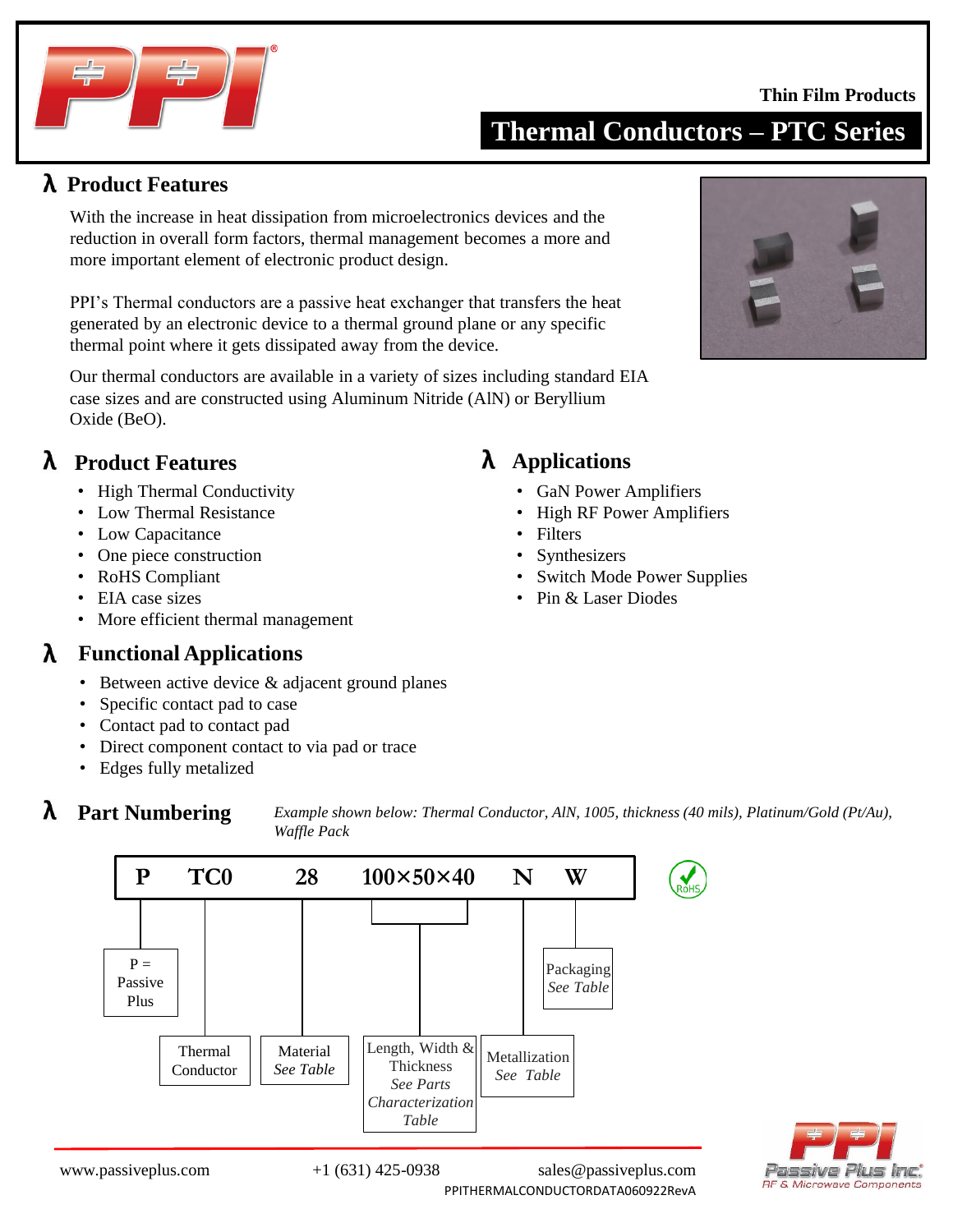#### **Thin Film Products**



**Product Features**

With the increase in heat dissipation from microelectronics devices and the reduction in overall form factors, thermal management becomes a more and more important element of electronic product design.

PPI's Thermal conductors are a passive heat exchanger that transfers the heat generated by an electronic device to a thermal ground plane or any specific thermal point where it gets dissipated away from the device.

Our thermal conductors are available in a variety of sizes including standard EIA Oxide (BeO). case sizes and are constructed using Aluminum Nitride (AlN) or Beryllium

#### **Product Features**

- High Thermal Conductivity
- Low Thermal Resistance
- Low Capacitance
- One piece construction
- RoHS Compliant
- EIA case sizes
- More efficient thermal management

#### $\lambda$ **Functional Applications**

- Between active device & adjacent ground planes
- Specific contact pad to case
- Contact pad to contact pad
- Direct component contact to via pad or trace
- Edges fully metalized

*Example shown below: Thermal Conductor, AlN, 1005, thickness (40 mils), Platinum/Gold (Pt/Au), Waffle Pack*

*See Table*



Length, Width & Thickness *See Parts Characterization Table*



Passive Plus Inc **RF & Microwave Components** 

 $P =$ 

λ

Plus

Thermal Conductor

Material *See Table*

PPITHERMALCONDUCTORDATA060922RevA

Metallization *See Table*

## **Applications**

- GaN Power Amplifiers
- High RF Power Amplifiers
- Filters
- Synthesizers
- Switch Mode Power Supplies
- Pin & Laser Diodes

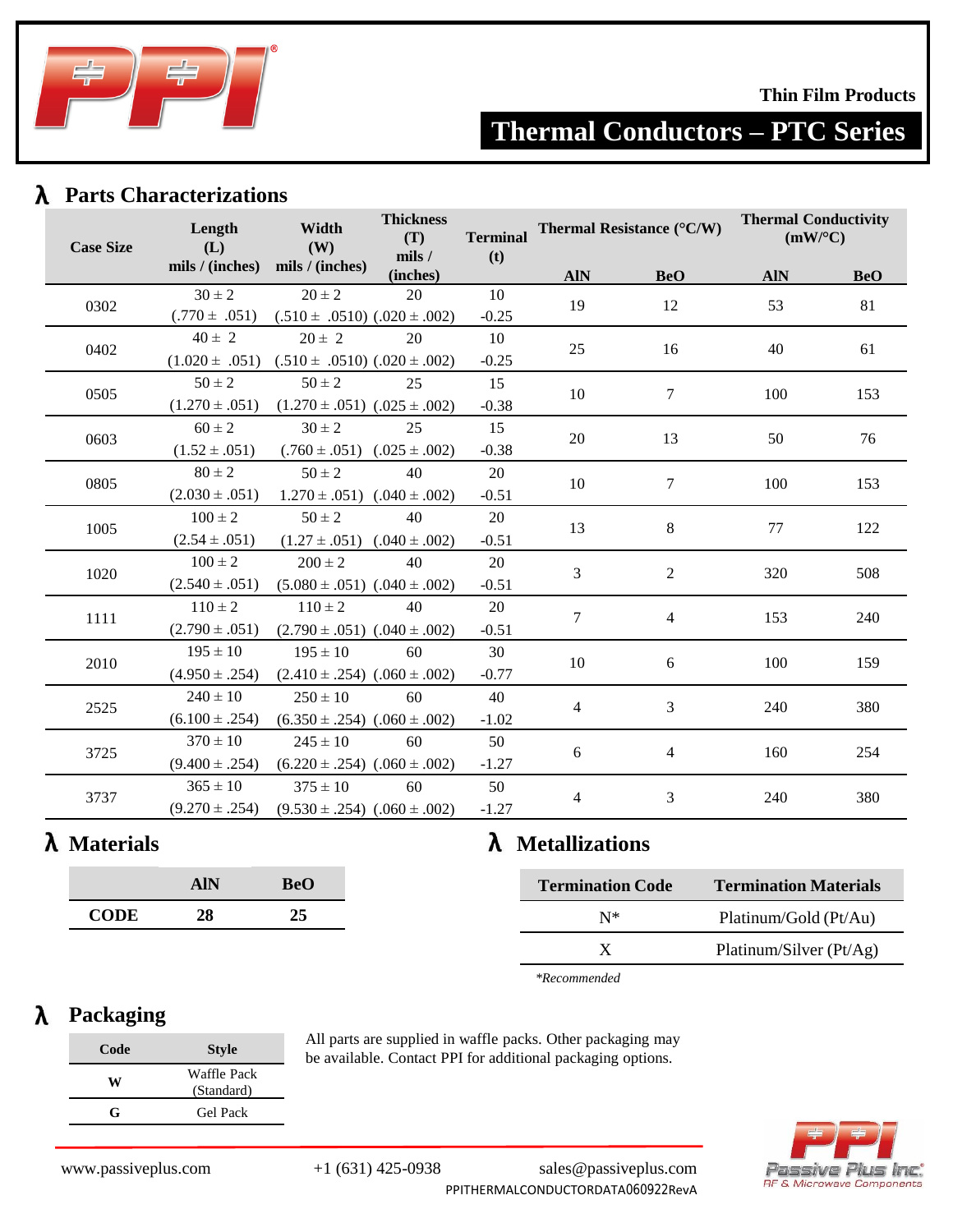

#### **Thin Film Products**

# **Thermal Conductors – PTC Series**

### **Parts Characterizations**

|                  | Length                 | Width                                                   | <b>Thickness</b><br>(T)<br><b>Terminal</b> | Thermal Resistance (°C/W) |            | <b>Thermal Conductivity</b><br>(mW/°C) |            |            |
|------------------|------------------------|---------------------------------------------------------|--------------------------------------------|---------------------------|------------|----------------------------------------|------------|------------|
| <b>Case Size</b> | (L)<br>mils / (inches) | (W)<br>mils / (inches)                                  | mils /<br>(inches)                         | (t)                       | <b>AIN</b> | <b>BeO</b>                             | <b>AIN</b> | <b>BeO</b> |
| 0302             | $30 \pm 2$             | $20 \pm 2$                                              | 20                                         | 10                        | 19         | 12                                     | 53         | 81         |
|                  | $(.770 \pm .051)$      | $(.510 \pm .0510)$ $(.020 \pm .002)$                    |                                            | $-0.25$                   |            |                                        |            |            |
| 0402             | $40 \pm 2$             | $20 \pm 2$                                              | 20                                         | 10                        | 25         | 16                                     | 40         | 61         |
|                  |                        | $(1.020 \pm .051)$ $(.510 \pm .0510)$ $(.020 \pm .002)$ |                                            | $-0.25$                   |            |                                        |            |            |
| 0505             | $50 \pm 2$             | $50 \pm 2$                                              | 25                                         | 15                        | 10         | $\tau$                                 | 100        | 153        |
|                  | $(1.270 \pm .051)$     | $(1.270 \pm .051)$ $(.025 \pm .002)$                    |                                            | $-0.38$                   |            |                                        |            |            |
| 0603             | $60 \pm 2$             | $30 \pm 2$                                              | 25                                         | 15                        | $20\,$     | 13                                     | 50         | 76         |
|                  | $(1.52 \pm .051)$      | $(.760 \pm .051)$ $(.025 \pm .002)$                     |                                            | $-0.38$                   |            |                                        |            |            |
| 0805             | $80 \pm 2$             | $50 \pm 2$                                              | 40                                         | 20                        | 10         | 7                                      | 100        | 153        |
|                  | $(2.030 \pm .051)$     | $1.270 \pm .051$ $(.040 \pm .002)$                      |                                            | $-0.51$                   |            |                                        |            |            |
| 1005             | $100 \pm 2$            | $50 \pm 2$                                              | 40                                         | 20                        | 13         | 8                                      | 77         | 122        |
|                  | $(2.54 \pm .051)$      | $(1.27 \pm .051)$ $(.040 \pm .002)$                     |                                            | $-0.51$                   |            |                                        |            |            |
| 1020             | $100 \pm 2$            | $200 \pm 2$                                             | 40                                         | 20                        | 3          | 2                                      | 320        | 508        |
|                  | $(2.540 \pm .051)$     | $(5.080 \pm .051)$ $(.040 \pm .002)$                    |                                            | $-0.51$                   |            |                                        |            |            |
| 1111             | $110 \pm 2$            | $110 \pm 2$                                             | 40                                         | 20                        | $\tau$     | $\overline{4}$                         | 153        | 240        |
|                  | $(2.790 \pm .051)$     | $(2.790 \pm .051)$ $(.040 \pm .002)$                    |                                            | $-0.51$                   |            |                                        |            |            |
|                  | $195 \pm 10$           | $195 \pm 10$                                            | 60                                         | 30                        | 10         | 6                                      | 100        |            |
| 2010             | $(4.950 \pm .254)$     | $(2.410 \pm .254)$ $(.060 \pm .002)$                    |                                            | $-0.77$                   |            |                                        |            | 159        |
| 2525             | $240 \pm 10$           | $250 \pm 10$                                            | 60                                         | 40                        |            | $\mathfrak{Z}$                         | 240        |            |
|                  | $(6.100 \pm .254)$     | $(6.350 \pm .254)$ $(.060 \pm .002)$                    |                                            | $-1.02$                   | 4          |                                        |            | 380        |
| 3725             | $370 \pm 10$           | $245 \pm 10$                                            | 60                                         | 50                        |            | $\overline{4}$                         | 160        | 254        |
|                  | $(9.400 \pm .254)$     | $(6.220 \pm .254)$ $(.060 \pm .002)$                    |                                            | $-1.27$                   | 6          |                                        |            |            |
| 3737             | $365 \pm 10$           | $375 \pm 10$                                            | 60                                         | 50                        |            | $\mathfrak{Z}$                         | 240        | 380        |
|                  | $(9.270 \pm .254)$     | $(9.530 \pm .254)$ $(.060 \pm .002)$                    |                                            | $-1.27$                   | 4          |                                        |            |            |

# **Materials**

|             | AIN | BeO |
|-------------|-----|-----|
| <b>CODE</b> | 28  | 25  |

# **Metallizations**

| <b>Termination Code</b> | <b>Termination Materials</b> |
|-------------------------|------------------------------|
| $N^*$                   | Platinum/Gold (Pt/Au)        |
| X                       | Platinum/Silver (Pt/Ag)      |
|                         |                              |

*\*Recommended*

#### **Packaging** λ

| Code | <b>Style</b>              |
|------|---------------------------|
| w    | Waffle Pack<br>(Standard) |
| G    | <b>Gel Pack</b>           |

All parts are supplied in waffle packs. Other packaging may be available. Contact PPI for additional packaging options.



www.passiveplus.com +1 (631) 425-0938 sales@passiveplus.com

PPITHERMALCONDUCTORDATA060922RevA